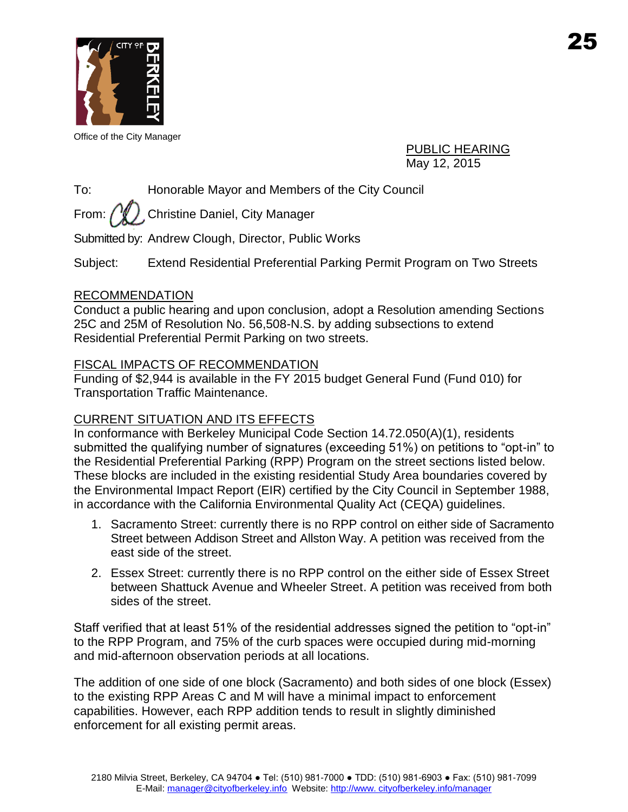

Office of the City Manager

PUBLIC HEARING May 12, 2015

To: Honorable Mayor and Members of the City Council

From:  $\left(\sqrt[n]{\right)}$  Christine Daniel, City Manager

Submitted by: Andrew Clough, Director, Public Works

Subject: Extend Residential Preferential Parking Permit Program on Two Streets

## RECOMMENDATION

Conduct a public hearing and upon conclusion, adopt a Resolution amending Sections 25C and 25M of Resolution No. 56,508-N.S. by adding subsections to extend Residential Preferential Permit Parking on two streets.

## FISCAL IMPACTS OF RECOMMENDATION

Funding of \$2,944 is available in the FY 2015 budget General Fund (Fund 010) for Transportation Traffic Maintenance.

# CURRENT SITUATION AND ITS EFFECTS

In conformance with Berkeley Municipal Code Section 14.72.050(A)(1), residents submitted the qualifying number of signatures (exceeding 51%) on petitions to "opt-in" to the Residential Preferential Parking (RPP) Program on the street sections listed below. These blocks are included in the existing residential Study Area boundaries covered by the Environmental Impact Report (EIR) certified by the City Council in September 1988, in accordance with the California Environmental Quality Act (CEQA) guidelines.

- 1. Sacramento Street: currently there is no RPP control on either side of Sacramento Street between Addison Street and Allston Way. A petition was received from the east side of the street.
- 2. Essex Street: currently there is no RPP control on the either side of Essex Street between Shattuck Avenue and Wheeler Street. A petition was received from both sides of the street.

Staff verified that at least 51% of the residential addresses signed the petition to "opt-in" to the RPP Program, and 75% of the curb spaces were occupied during mid-morning and mid-afternoon observation periods at all locations.

The addition of one side of one block (Sacramento) and both sides of one block (Essex) to the existing RPP Areas C and M will have a minimal impact to enforcement capabilities. However, each RPP addition tends to result in slightly diminished enforcement for all existing permit areas.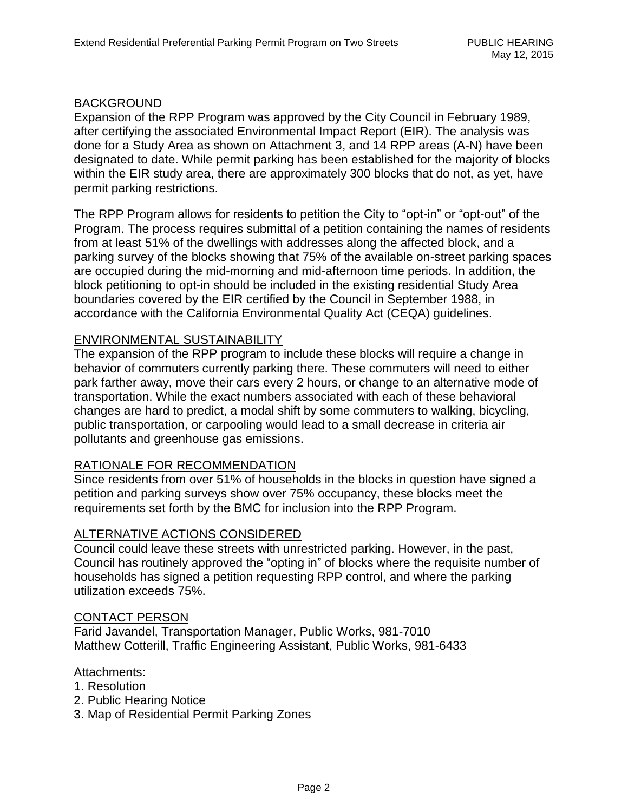#### BACKGROUND

Expansion of the RPP Program was approved by the City Council in February 1989, after certifying the associated Environmental Impact Report (EIR). The analysis was done for a Study Area as shown on Attachment 3, and 14 RPP areas (A-N) have been designated to date. While permit parking has been established for the majority of blocks within the EIR study area, there are approximately 300 blocks that do not, as yet, have permit parking restrictions.

The RPP Program allows for residents to petition the City to "opt-in" or "opt-out" of the Program. The process requires submittal of a petition containing the names of residents from at least 51% of the dwellings with addresses along the affected block, and a parking survey of the blocks showing that 75% of the available on-street parking spaces are occupied during the mid-morning and mid-afternoon time periods. In addition, the block petitioning to opt-in should be included in the existing residential Study Area boundaries covered by the EIR certified by the Council in September 1988, in accordance with the California Environmental Quality Act (CEQA) guidelines.

#### ENVIRONMENTAL SUSTAINABILITY

The expansion of the RPP program to include these blocks will require a change in behavior of commuters currently parking there. These commuters will need to either park farther away, move their cars every 2 hours, or change to an alternative mode of transportation. While the exact numbers associated with each of these behavioral changes are hard to predict, a modal shift by some commuters to walking, bicycling, public transportation, or carpooling would lead to a small decrease in criteria air pollutants and greenhouse gas emissions.

#### RATIONALE FOR RECOMMENDATION

Since residents from over 51% of households in the blocks in question have signed a petition and parking surveys show over 75% occupancy, these blocks meet the requirements set forth by the BMC for inclusion into the RPP Program.

#### ALTERNATIVE ACTIONS CONSIDERED

Council could leave these streets with unrestricted parking. However, in the past, Council has routinely approved the "opting in" of blocks where the requisite number of households has signed a petition requesting RPP control, and where the parking utilization exceeds 75%.

#### CONTACT PERSON

Farid Javandel, Transportation Manager, Public Works, 981-7010 Matthew Cotterill, Traffic Engineering Assistant, Public Works, 981-6433

#### Attachments:

- 1. Resolution
- 2. Public Hearing Notice
- 3. Map of Residential Permit Parking Zones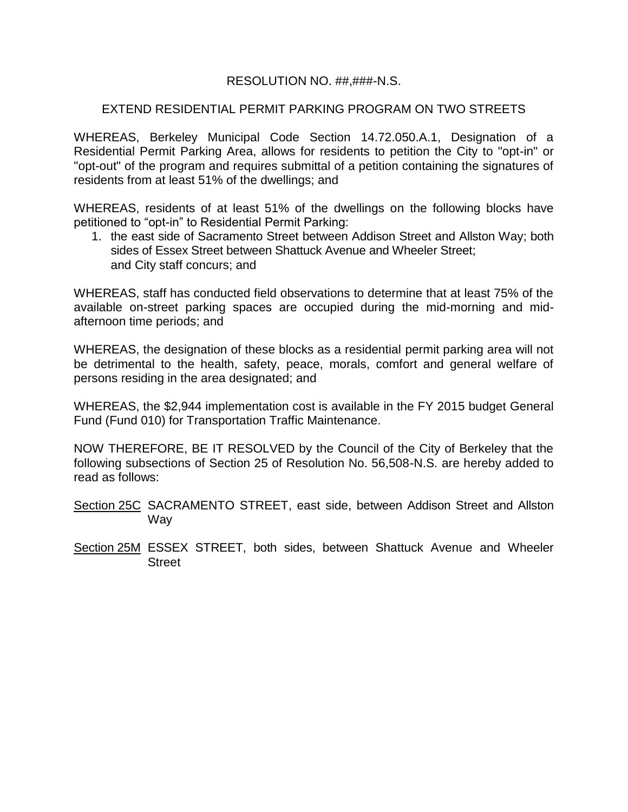## RESOLUTION NO. ##,###-N.S.

## EXTEND RESIDENTIAL PERMIT PARKING PROGRAM ON TWO STREETS

WHEREAS, Berkeley Municipal Code Section 14.72.050.A.1, Designation of a Residential Permit Parking Area, allows for residents to petition the City to "opt-in" or "opt-out" of the program and requires submittal of a petition containing the signatures of residents from at least 51% of the dwellings; and

WHEREAS, residents of at least 51% of the dwellings on the following blocks have petitioned to "opt-in" to Residential Permit Parking:

1. the east side of Sacramento Street between Addison Street and Allston Way; both sides of Essex Street between Shattuck Avenue and Wheeler Street; and City staff concurs; and

WHEREAS, staff has conducted field observations to determine that at least 75% of the available on-street parking spaces are occupied during the mid-morning and midafternoon time periods; and

WHEREAS, the designation of these blocks as a residential permit parking area will not be detrimental to the health, safety, peace, morals, comfort and general welfare of persons residing in the area designated; and

WHEREAS, the \$2,944 implementation cost is available in the FY 2015 budget General Fund (Fund 010) for Transportation Traffic Maintenance.

NOW THEREFORE, BE IT RESOLVED by the Council of the City of Berkeley that the following subsections of Section 25 of Resolution No. 56,508-N.S. are hereby added to read as follows:

- Section 25C SACRAMENTO STREET, east side, between Addison Street and Allston Way
- Section 25M ESSEX STREET, both sides, between Shattuck Avenue and Wheeler **Street**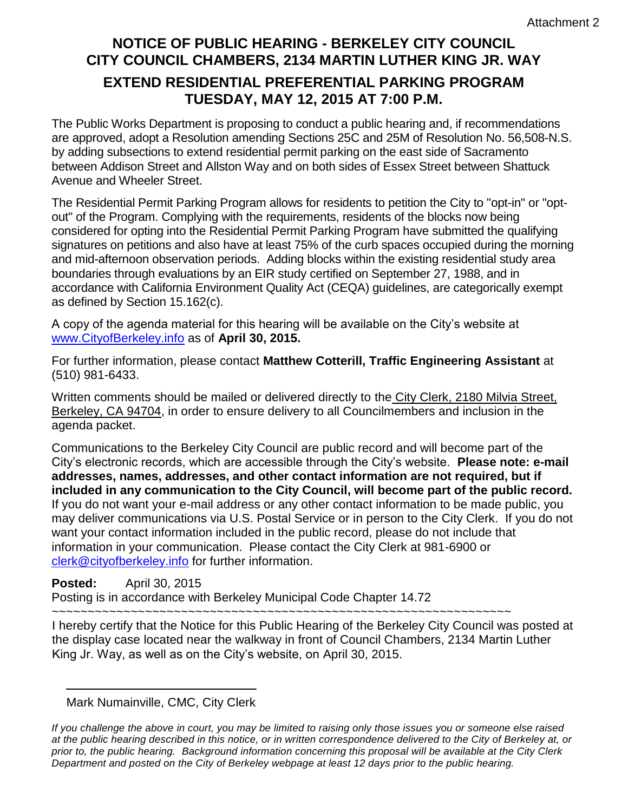# **NOTICE OF PUBLIC HEARING - BERKELEY CITY COUNCIL CITY COUNCIL CHAMBERS, 2134 MARTIN LUTHER KING JR. WAY**

# **EXTEND RESIDENTIAL PREFERENTIAL PARKING PROGRAM TUESDAY, MAY 12, 2015 AT 7:00 P.M.**

The Public Works Department is proposing to conduct a public hearing and, if recommendations are approved, adopt a Resolution amending Sections 25C and 25M of Resolution No. 56,508-N.S. by adding subsections to extend residential permit parking on the east side of Sacramento between Addison Street and Allston Way and on both sides of Essex Street between Shattuck Avenue and Wheeler Street.

The Residential Permit Parking Program allows for residents to petition the City to "opt-in" or "optout" of the Program. Complying with the requirements, residents of the blocks now being considered for opting into the Residential Permit Parking Program have submitted the qualifying signatures on petitions and also have at least 75% of the curb spaces occupied during the morning and mid-afternoon observation periods. Adding blocks within the existing residential study area boundaries through evaluations by an EIR study certified on September 27, 1988, and in accordance with California Environment Quality Act (CEQA) guidelines, are categorically exempt as defined by Section 15.162(c).

A copy of the agenda material for this hearing will be available on the City's website at [www.CityofBerkeley.info](http://www.cityofberkeley.info/) as of **April 30, 2015.**

For further information, please contact **Matthew Cotterill, Traffic Engineering Assistant** at (510) 981-6433.

Written comments should be mailed or delivered directly to the City Clerk, 2180 Milvia Street, Berkeley, CA 94704, in order to ensure delivery to all Councilmembers and inclusion in the agenda packet.

Communications to the Berkeley City Council are public record and will become part of the City's electronic records, which are accessible through the City's website. **Please note: e-mail addresses, names, addresses, and other contact information are not required, but if included in any communication to the City Council, will become part of the public record.** If you do not want your e-mail address or any other contact information to be made public, you may deliver communications via U.S. Postal Service or in person to the City Clerk. If you do not want your contact information included in the public record, please do not include that information in your communication. Please contact the City Clerk at 981-6900 or [clerk@cityofberkeley.info](mailto:clerk@cityofberkeley.info) for further information.

# **Posted:** April 30, 2015

Posting is in accordance with Berkeley Municipal Code Chapter 14.72

~~~~~~~~~~~~~~~~~~~~~~~~~~~~~~~~~~~~~~~~~~~~~~~~~~~~~~~~~~~~~~~~

I hereby certify that the Notice for this Public Hearing of the Berkeley City Council was posted at the display case located near the walkway in front of Council Chambers, 2134 Martin Luther King Jr. Way, as well as on the City's website, on April 30, 2015.

Mark Numainville, CMC, City Clerk

*If you challenge the above in court, you may be limited to raising only those issues you or someone else raised at the public hearing described in this notice, or in written correspondence delivered to the City of Berkeley at, or prior to, the public hearing. Background information concerning this proposal will be available at the City Clerk Department and posted on the City of Berkeley webpage at least 12 days prior to the public hearing.*